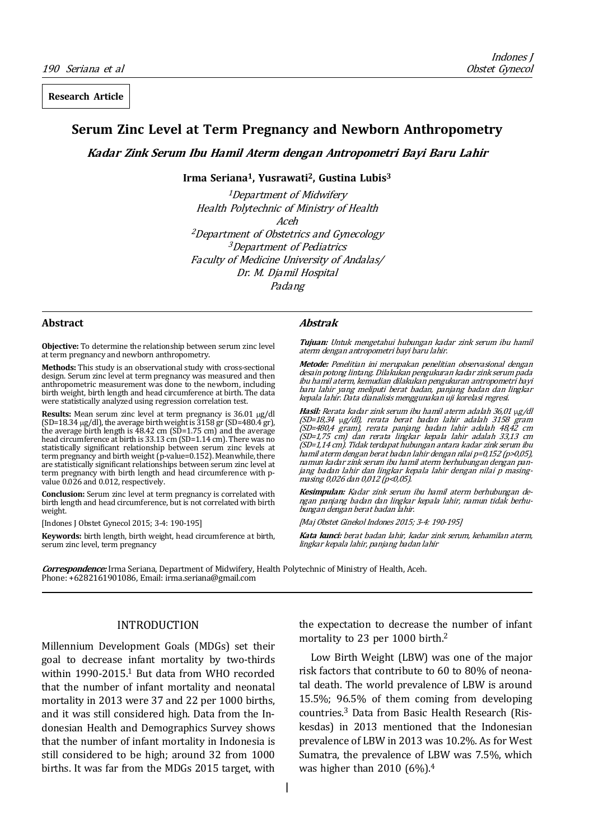**Research Article**

# **Serum Zinc Level at Term Pregnancy and Newborn Anthropometry**

**Kadar Zink Serum Ibu Hamil Aterm dengan Antropometri Bayi Baru Lahir**

**Irma Seriana1, Yusrawati2, Gustina Lubis3**

<sup>1</sup>Department of Midwifery Health Polytechnic of Ministry of Health Aceh <sup>2</sup>Department of Obstetrics and Gynecology <sup>3</sup>Department of Pediatrics Faculty of Medicine University of Andalas/ Dr. M. Djamil Hospital Padang

#### **Abstract**

**Objective:** To determine the relationship between serum zinc level at term pregnancy and newborn anthropometry.

**Methods:** This study is an observational study with cross-sectional design. Serum zinc level at term pregnancy was measured and then anthropometric measurement was done to the newborn, including birth weight, birth length and head circumference at birth. The data were statistically analyzed using regression correlation test.

**Results:** Mean serum zinc level at term pregnancy is 36.01 μg/dl  $(SD=18.34 \mu g/dl)$ , the average birth weight is  $3158 \,\text{gr}$  (SD=480.4 gr), the average birth length is 48.42 cm (SD=1.75 cm) and the average head circumference at birth is 33.13 cm (SD=1.14 cm). There was no statistically significant relationship between serum zinc levels at term pregnancy and birth weight (p-value=0.152). Meanwhile, there are statistically significant relationships between serum zinc level at term pregnancy with birth length and head circumference with pvalue 0.026 and 0.012, respectively.

**Conclusion:** Serum zinc level at term pregnancy is correlated with birth length and head circumference, but is not correlated with birth weight.

[Indones J Obstet Gynecol 2015; 3-4: 190-195]

**Keywords:** birth length, birth weight, head circumference at birth, serum zinc level, term pregnancy

## **Abstrak**

**Tujuan:** Untuk mengetahui hubungan kadar zink serum ibu hamil aterm dengan antropometri bayi baru lahir.

**Metode:** Penelitian ini merupakan penelitian observasional dengan desain potong lintang. Dilakukan pengukuran kadar zink serum pada ibu hamil aterm, kemudian dilakukan pengukuran antropometri bayi baru lahir yang meliputi berat badan, panjang badan dan lingkar kepala lahir. Data dianalisis menggunakan uji korelasi regresi.

**Hasil:** Rerata kadar zink serum ibu hamil aterm adalah 36,01 μg/dl (SD=18,34 μg/dl), rerata berat badan lahir adalah 3158 gram (SD=480,4 gram), rerata panjang badan lahir adalah 48,42 cm (SD=1,75 cm) dan rerata lingkar kepala lahir adalah 33,13 cm (SD=1,14 cm). Tidak terdapat hubungan antara kadar zink serum ibu hamil aterm dengan berat badan lahir dengan nilai p=0,152 (p>0,05), namun kadar zink serum ibu hamil aterm berhubungan dengan panjang badan lahir dan lingkar kepala lahir dengan nilai p masingmasing 0,026 dan 0,012 (p<0,05).

**Kesimpulan:** Kadar zink serum ibu hamil aterm berhubungan dengan panjang badan dan lingkar kepala lahir, namun tidak berhubungan dengan berat badan lahir.

[Maj Obstet Ginekol Indones 2015; 3-4: 190-195]

**Kata kunci:** berat badan lahir, kadar zink serum, kehamilan aterm, lingkar kepala lahir, panjang badan lahir

**Correspondence:** Irma Seriana, Department of Midwifery, Health Polytechnic of Ministry of Health, Aceh. Phone: +6282161901086, Email: irma.seriana@gmail.com

## INTRODUCTION

Millennium Development Goals (MDGs) set their goal to decrease infant mortality by two-thirds within 1990-2015.1 But data from WHO recorded that the number of infant mortality and neonatal mortality in 2013 were 37 and 22 per 1000 births, and it was still considered high. Data from the Indonesian Health and Demographics Survey shows that the number of infant mortality in Indonesia is still considered to be high; around 32 from 1000 births. It was far from the MDGs 2015 target, with

the expectation to decrease the number of infant mortality to 23 per 1000 birth.2

Low Birth Weight (LBW) was one of the major risk factors that contribute to 60 to 80% of neonatal death. The world prevalence of LBW is around 15.5%; 96.5% of them coming from developing countries.3 Data from Basic Health Research (Riskesdas) in 2013 mentioned that the Indonesian prevalence of LBW in 2013 was 10.2%. As for West Sumatra, the prevalence of LBW was 7.5%, which was higher than 2010 (6%).4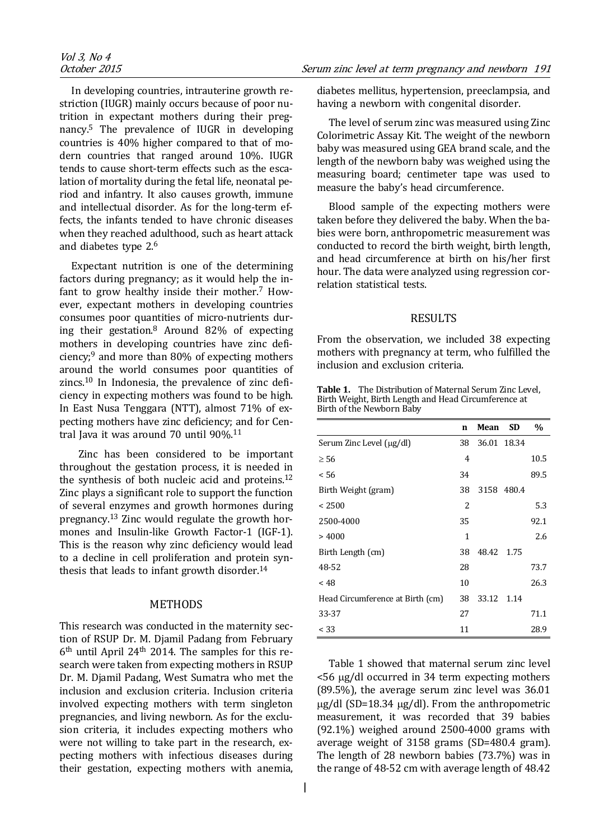In developing countries, intrauterine growth restriction (IUGR) mainly occurs because of poor nutrition in expectant mothers during their pregnancy.5 The prevalence of IUGR in developing countries is 40% higher compared to that of modern countries that ranged around 10%. IUGR tends to cause short-term effects such as the escalation of mortality during the fetal life, neonatal period and infantry. It also causes growth, immune and intellectual disorder. As for the long-term effects, the infants tended to have chronic diseases when they reached adulthood, such as heart attack and diabetes type 2.6

Expectant nutrition is one of the determining factors during pregnancy; as it would help the infant to grow healthy inside their mother.7 However, expectant mothers in developing countries consumes poor quantities of micro-nutrients during their gestation.8 Around 82% of expecting mothers in developing countries have zinc deficiency; $9$  and more than 80% of expecting mothers around the world consumes poor quantities of zincs.10 In Indonesia, the prevalence of zinc deficiency in expecting mothers was found to be high. In East Nusa Tenggara (NTT), almost 71% of expecting mothers have zinc deficiency; and for Central Java it was around 70 until 90%.11

 Zinc has been considered to be important throughout the gestation process, it is needed in the synthesis of both nucleic acid and proteins.12 Zinc plays a significant role to support the function of several enzymes and growth hormones during pregnancy.13 Zinc would regulate the growth hormones and Insulin-like Growth Factor-1 (IGF-1). This is the reason why zinc deficiency would lead to a decline in cell proliferation and protein synthesis that leads to infant growth disorder.<sup>14</sup>

#### METHODS

This research was conducted in the maternity section of RSUP Dr. M. Djamil Padang from February  $6<sup>th</sup>$  until April 24<sup>th</sup> 2014. The samples for this research were taken from expecting mothers in RSUP Dr. M. Djamil Padang, West Sumatra who met the inclusion and exclusion criteria. Inclusion criteria involved expecting mothers with term singleton pregnancies, and living newborn. As for the exclusion criteria, it includes expecting mothers who were not willing to take part in the research, expecting mothers with infectious diseases during their gestation, expecting mothers with anemia,

diabetes mellitus, hypertension, preeclampsia, and having a newborn with congenital disorder.

The level of serum zinc was measured using Zinc Colorimetric Assay Kit. The weight of the newborn baby was measured using GEA brand scale, and the length of the newborn baby was weighed using the measuring board; centimeter tape was used to measure the baby's head circumference.

Blood sample of the expecting mothers were taken before they delivered the baby. When the babies were born, anthropometric measurement was conducted to record the birth weight, birth length, and head circumference at birth on his/her first hour. The data were analyzed using regression correlation statistical tests.

## RESULTS

From the observation, we included 38 expecting mothers with pregnancy at term, who fulfilled the inclusion and exclusion criteria.

**Table 1.** The Distribution of Maternal Serum Zinc Level, Birth Weight, Birth Length and Head Circumference at Birth of the Newborn Baby

|                                  | $\mathbf n$ | Mean        | <b>SD</b>  | $\frac{0}{0}$ |
|----------------------------------|-------------|-------------|------------|---------------|
| Serum Zinc Level (µg/dl)         | 38          | 36.01 18.34 |            |               |
| $\geq 56$                        | 4           |             |            | 10.5          |
| < 56                             | 34          |             |            | 89.5          |
| Birth Weight (gram)              | 38          |             | 3158 480.4 |               |
| < 2500                           | 2           |             |            | 5.3           |
| 2500-4000                        | 35          |             |            | 92.1          |
| >4000                            | 1           |             |            | 2.6           |
| Birth Length (cm)                | 38          | 48.42 1.75  |            |               |
| 48-52                            | 28          |             |            | 73.7          |
| < 48                             | 10          |             |            | 26.3          |
| Head Circumference at Birth (cm) | 38          | 33.12       | 1.14       |               |
| 33-37                            | 27          |             |            | 71.1          |
| < 33                             | 11          |             |            | 28.9          |

Table 1 showed that maternal serum zinc level <56 μg/dl occurred in 34 term expecting mothers (89.5%), the average serum zinc level was 36.01 μg/dl (SD=18.34 μg/dl). From the anthropometric measurement, it was recorded that 39 babies (92.1%) weighed around 2500-4000 grams with average weight of 3158 grams (SD=480.4 gram). The length of 28 newborn babies (73.7%) was in the range of 48-52 cm with average length of 48.42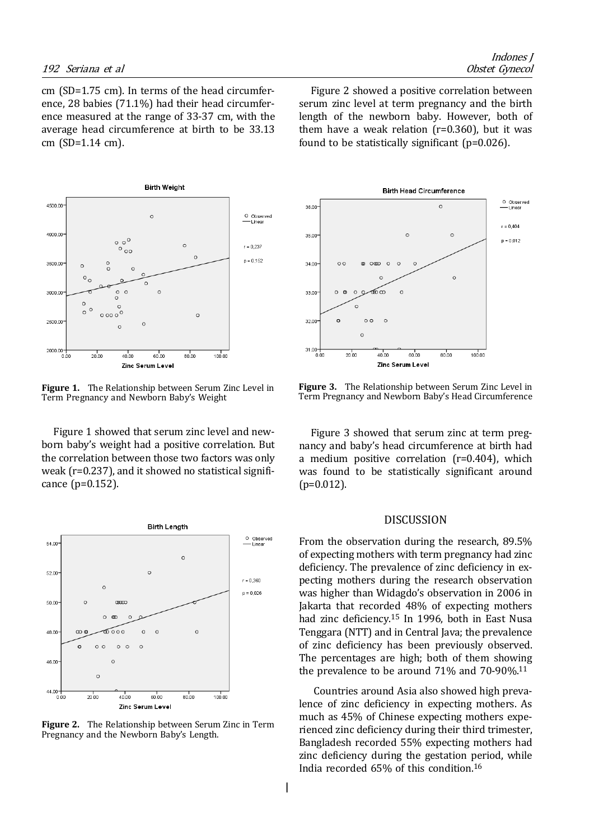cm (SD=1.75 cm). In terms of the head circumference, 28 babies (71.1%) had their head circumference measured at the range of 33-37 cm, with the average head circumference at birth to be 33.13 cm (SD=1.14 cm).



**Figure 1.** The Relationship between Serum Zinc Level in Term Pregnancy and Newborn Baby's Weight

Figure 1 showed that serum zinc level and newborn baby's weight had a positive correlation. But the correlation between those two factors was only weak (r=0.237), and it showed no statistical significance (p=0.152).



**Figure 2.** The Relationship between Serum Zinc in Term Pregnancy and the Newborn Baby's Length.

Figure 2 showed a positive correlation between serum zinc level at term pregnancy and the birth length of the newborn baby. However, both of them have a weak relation ( $r=0.360$ ), but it was found to be statistically significant (p=0.026).



**Figure 3.** The Relationship between Serum Zinc Level in Term Pregnancy and Newborn Baby's Head Circumference

Figure 3 showed that serum zinc at term pregnancy and baby's head circumference at birth had a medium positive correlation (r=0.404), which was found to be statistically significant around  $(p=0.012)$ .

## DISCUSSION

From the observation during the research, 89.5% of expecting mothers with term pregnancy had zinc deficiency. The prevalence of zinc deficiency in expecting mothers during the research observation was higher than Widagdo's observation in 2006 in Jakarta that recorded 48% of expecting mothers had zinc deficiency.15 In 1996, both in East Nusa Tenggara (NTT) and in Central Java; the prevalence of zinc deficiency has been previously observed. The percentages are high; both of them showing the prevalence to be around 71% and 70-90%.11

 Countries around Asia also showed high prevalence of zinc deficiency in expecting mothers. As much as 45% of Chinese expecting mothers experienced zinc deficiency during their third trimester, Bangladesh recorded 55% expecting mothers had zinc deficiency during the gestation period, while India recorded 65% of this condition.16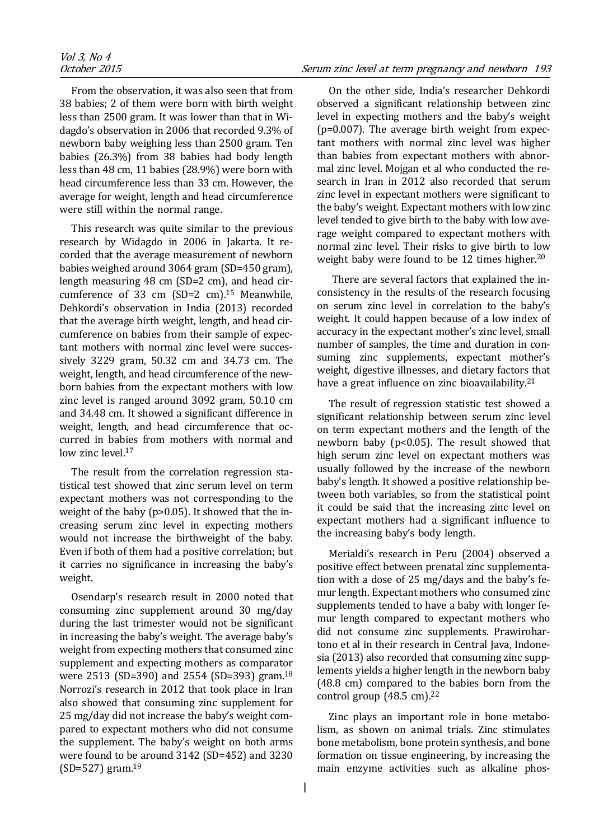From the observation, it was also seen that from 38 babies; 2 of them were born with birth weight less than 2500 gram. It was lower than that in Widagdo's observation in 2006 that recorded 9.3% of newborn baby weighing less than 2500 gram. Ten babies (26.3%) from 38 babies had body length less than 48 cm, 11 babies (28.9%) were born with head circumference less than 33 cm. However, the average for weight, length and head circumference were still within the normal range.

This research was quite similar to the previous research by Widagdo in 2006 in Jakarta. It recorded that the average measurement of newborn babies weighed around 3064 gram (SD=450 gram), length measuring 48 cm (SD=2 cm), and head circumference of 33 cm  $(SD=2 \text{ cm})$ .<sup>15</sup> Meanwhile, Dehkordi's observation in India (2013) recorded that the average birth weight, length, and head circumference on babies from their sample of expectant mothers with normal zinc level were successively 3229 gram, 50.32 cm and 34.73 cm. The weight, length, and head circumference of the newborn babies from the expectant mothers with low zinc level is ranged around 3092 gram, 50.10 cm and 34.48 cm. It showed a significant difference in weight, length, and head circumference that occurred in babies from mothers with normal and low zinc level.<sup>17</sup>

The result from the correlation regression statistical test showed that zinc serum level on term expectant mothers was not corresponding to the weight of the baby (p>0.05). It showed that the increasing serum zinc level in expecting mothers would not increase the birthweight of the baby. Even if both of them had a positive correlation; but it carries no significance in increasing the baby's weight.

Osendarp's research result in 2000 noted that consuming zinc supplement around 30 mg/day during the last trimester would not be significant in increasing the baby's weight. The average baby's weight from expecting mothers that consumed zinc supplement and expecting mothers as comparator were 2513 (SD=390) and 2554 (SD=393) gram.18 Norrozi's research in 2012 that took place in Iran also showed that consuming zinc supplement for 25 mg/day did not increase the baby's weight compared to expectant mothers who did not consume the supplement. The baby's weight on both arms were found to be around 3142 (SD=452) and 3230  $(SD=527)$  gram.<sup>19</sup>

On the other side, India's researcher Dehkordi observed a significant relationship between zinc level in expecting mothers and the baby's weight (p=0.007). The average birth weight from expectant mothers with normal zinc level was higher than babies from expectant mothers with abnormal zinc level. Mojgan et al who conducted the research in Iran in 2012 also recorded that serum zinc level in expectant mothers were significant to the baby's weight. Expectant mothers with low zinc level tended to give birth to the baby with low average weight compared to expectant mothers with normal zinc level. Their risks to give birth to low weight baby were found to be 12 times higher.<sup>20</sup>

 There are several factors that explained the inconsistency in the results of the research focusing on serum zinc level in correlation to the baby's weight. It could happen because of a low index of accuracy in the expectant mother's zinc level, small number of samples, the time and duration in consuming zinc supplements, expectant mother's weight, digestive illnesses, and dietary factors that have a great influence on zinc bioavailability. $21$ 

The result of regression statistic test showed a significant relationship between serum zinc level on term expectant mothers and the length of the newborn baby (p<0.05). The result showed that high serum zinc level on expectant mothers was usually followed by the increase of the newborn baby's length. It showed a positive relationship between both variables, so from the statistical point it could be said that the increasing zinc level on expectant mothers had a significant influence to the increasing baby's body length.

Merialdi's research in Peru (2004) observed a positive effect between prenatal zinc supplementation with a dose of 25 mg/days and the baby's femur length. Expectant mothers who consumed zinc supplements tended to have a baby with longer femur length compared to expectant mothers who did not consume zinc supplements. Prawirohartono et al in their research in Central Java, Indonesia (2013) also recorded that consuming zinc supplements yields a higher length in the newborn baby (48.8 cm) compared to the babies born from the control group  $(48.5 \text{ cm})^{22}$ 

Zinc plays an important role in bone metabolism, as shown on animal trials. Zinc stimulates bone metabolism, bone protein synthesis, and bone formation on tissue engineering, by increasing the main enzyme activities such as alkaline phos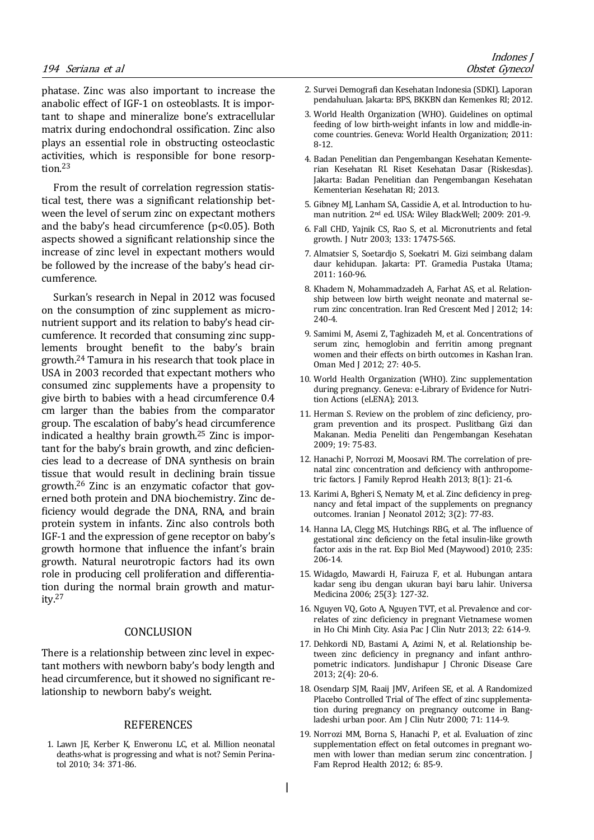phatase. Zinc was also important to increase the anabolic effect of IGF-1 on osteoblasts. It is important to shape and mineralize bone's extracellular matrix during endochondral ossification. Zinc also plays an essential role in obstructing osteoclastic activities, which is responsible for bone resorption.23

From the result of correlation regression statistical test, there was a significant relationship between the level of serum zinc on expectant mothers and the baby's head circumference (p<0.05). Both aspects showed a significant relationship since the increase of zinc level in expectant mothers would be followed by the increase of the baby's head circumference.

Surkan's research in Nepal in 2012 was focused on the consumption of zinc supplement as micronutrient support and its relation to baby's head circumference. It recorded that consuming zinc supplements brought benefit to the baby's brain growth.24 Tamura in his research that took place in USA in 2003 recorded that expectant mothers who consumed zinc supplements have a propensity to give birth to babies with a head circumference 0.4 cm larger than the babies from the comparator group. The escalation of baby's head circumference indicated a healthy brain growth.25 Zinc is important for the baby's brain growth, and zinc deficiencies lead to a decrease of DNA synthesis on brain tissue that would result in declining brain tissue growth.26 Zinc is an enzymatic cofactor that governed both protein and DNA biochemistry. Zinc deficiency would degrade the DNA, RNA, and brain protein system in infants. Zinc also controls both IGF-1 and the expression of gene receptor on baby's growth hormone that influence the infant's brain growth. Natural neurotropic factors had its own role in producing cell proliferation and differentiation during the normal brain growth and maturity.27

## CONCLUSION

There is a relationship between zinc level in expectant mothers with newborn baby's body length and head circumference, but it showed no significant relationship to newborn baby's weight.

## **REFERENCES**

1. Lawn JE, Kerber K, Enweronu LC, et al. Million neonatal deaths-what is progressing and what is not? Semin Perinatol 2010; 34: 371-86.

- 2. Survei Demografi dan Kesehatan Indonesia (SDKI). Laporan pendahuluan. Jakarta: BPS, BKKBN dan Kemenkes RI; 2012.
- 3. World Health Organization (WHO). Guidelines on optimal feeding of low birth-weight infants in low and middle-income countries. Geneva: World Health Organization; 2011: 8-12.
- 4. Badan Penelitian dan Pengembangan Kesehatan Kementerian Kesehatan RI. Riset Kesehatan Dasar (Riskesdas). Jakarta: Badan Penelitian dan Pengembangan Kesehatan Kementerian Kesehatan RI; 2013.
- 5. Gibney MJ, Lanham SA, Cassidie A, et al. Introduction to human nutrition. 2nd ed. USA: Wiley BlackWell; 2009: 201-9.
- 6. Fall CHD, Yajnik CS, Rao S, et al. Micronutrients and fetal growth. J Nutr 2003; 133: 1747S-56S.
- 7. Almatsier S, Soetardjo S, Soekatri M. Gizi seimbang dalam daur kehidupan. Jakarta: PT. Gramedia Pustaka Utama; 2011: 160-96.
- 8. Khadem N, Mohammadzadeh A, Farhat AS, et al. Relationship between low birth weight neonate and maternal serum zinc concentration. Iran Red Crescent Med J 2012; 14: 240-4.
- 9. Samimi M, Asemi Z, Taghizadeh M, et al. Concentrations of serum zinc, hemoglobin and ferritin among pregnant women and their effects on birth outcomes in Kashan Iran. Oman Med J 2012; 27: 40-5.
- 10. World Health Organization (WHO). Zinc supplementation during pregnancy. Geneva: e-Library of Evidence for Nutrition Actions (eLENA); 2013.
- 11. Herman S. Review on the problem of zinc deficiency, program prevention and its prospect. Puslitbang Gizi dan Makanan. Media Peneliti dan Pengembangan Kesehatan 2009; 19: 75-83.
- 12. Hanachi P, Norrozi M, Moosavi RM. The correlation of prenatal zinc concentration and deficiency with anthropometric factors. J Family Reprod Health 2013; 8(1): 21-6.
- 13. Karimi A, Bgheri S, Nematy M, et al. Zinc deficiency in pregnancy and fetal impact of the supplements on pregnancy outcomes. Iranian J Neonatol 2012; 3(2): 77-83.
- 14. Hanna LA, Clegg MS, Hutchings RBG, et al. The influence of gestational zinc deficiency on the fetal insulin-like growth factor axis in the rat. Exp Biol Med (Maywood) 2010; 235: 206-14.
- 15. Widagdo, Mawardi H, Fairuza F, et al. Hubungan antara kadar seng ibu dengan ukuran bayi baru lahir. Universa Medicina 2006; 25(3): 127-32.
- 16. Nguyen VQ, Goto A, Nguyen TVT, et al. Prevalence and correlates of zinc deficiency in pregnant Vietnamese women in Ho Chi Minh City. Asia Pac J Clin Nutr 2013; 22: 614-9.
- 17. Dehkordi ND, Bastami A, Azimi N, et al. Relationship between zinc deficiency in pregnancy and infant anthropometric indicators. Jundishapur J Chronic Disease Care 2013; 2(4): 20-6.
- 18. Osendarp SJM, Raaij JMV, Arifeen SE, et al. A Randomized Placebo Controlled Trial of The effect of zinc supplementation during pregnancy on pregnancy outcome in Bangladeshi urban poor. Am J Clin Nutr 2000; 71: 114-9.
- 19. Norrozi MM, Borna S, Hanachi P, et al. Evaluation of zinc supplementation effect on fetal outcomes in pregnant women with lower than median serum zinc concentration. J Fam Reprod Health 2012; 6: 85-9.